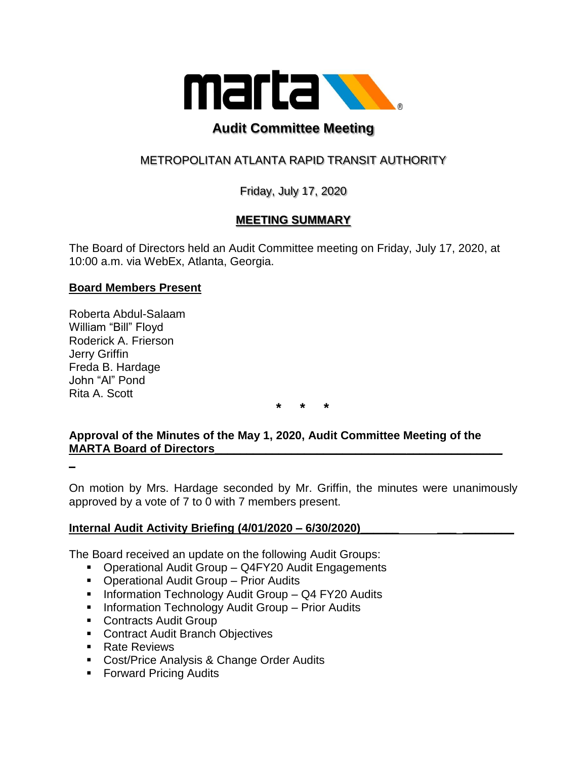

# **Audit Committee Meeting**

## METROPOLITAN ATLANTA RAPID TRANSIT AUTHORITY

Friday, July 17, 2020

## **MEETING SUMMARY**

The Board of Directors held an Audit Committee meeting on Friday, July 17, 2020, at 10:00 a.m. via WebEx, Atlanta, Georgia.

### **Board Members Present**

Roberta Abdul-Salaam William "Bill" Floyd Roderick A. Frierson Jerry Griffin Freda B. Hardage John "Al" Pond Rita A. Scott

**\* \* \***

## **Approval of the Minutes of the May 1, 2020, Audit Committee Meeting of the MARTA Board of Directors**

**\_**

On motion by Mrs. Hardage seconded by Mr. Griffin, the minutes were unanimously approved by a vote of 7 to 0 with 7 members present.

### **Internal Audit Activity Briefing (4/01/2020 – 6/30/2020)\_\_\_\_\_\_ \_\_\_ \_\_\_\_\_\_\_\_**

The Board received an update on the following Audit Groups:

- Operational Audit Group Q4FY20 Audit Engagements
- Operational Audit Group Prior Audits
- **E** Information Technology Audit Group Q4 FY20 Audits
- **E** Information Technology Audit Group Prior Audits
- Contracts Audit Group
- Contract Audit Branch Objectives
- Rate Reviews
- Cost/Price Analysis & Change Order Audits
- Forward Pricing Audits